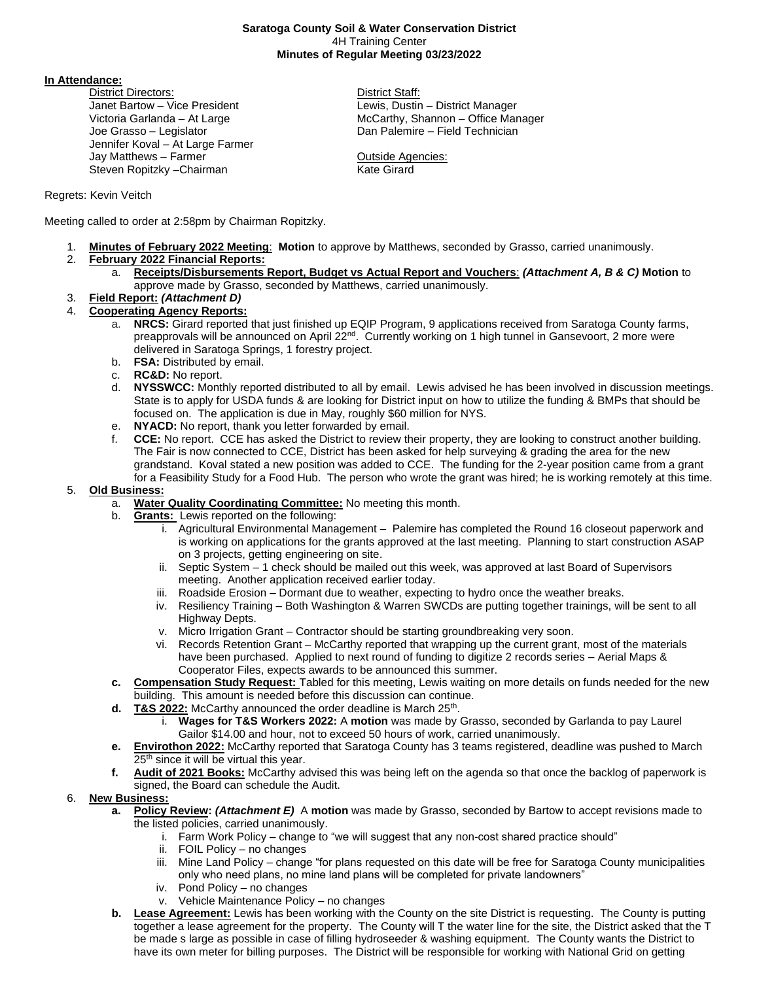## **Saratoga County Soil & Water Conservation District** 4H Training Center **Minutes of Regular Meeting 03/23/2022**

**In Attendance:** 

District Directors: District Staff: Janet Bartow – Vice President Lewis, Dustin – District Manager Joe Grasso – Legislator Dan Palemire – Field Technician Jennifer Koval – At Large Farmer Jay Matthews – Farmer **Contract Contract Contract Contract Contract Contract Contract Contract Contract Contract Contract Contract Contract Contract Contract Contract Contract Contract Contract Contract Contract Contract C** Steven Ropitzky – Chairman Kate Girard

Victoria Garlanda – At Large **McCarthy, Shannon – Office Manager** McCarthy, Shannon – Office Manager

# Regrets: Kevin Veitch

Meeting called to order at 2:58pm by Chairman Ropitzky.

- 1. **Minutes of February 2022 Meeting**: **Motion** to approve by Matthews, seconded by Grasso, carried unanimously.
- 2. **February 2022 Financial Reports:**
	- a. **Receipts/Disbursements Report, Budget vs Actual Report and Vouchers**: *(Attachment A, B & C)* **Motion** to approve made by Grasso, seconded by Matthews, carried unanimously.
- 3. **Field Report:** *(Attachment D)*
- 4. **Cooperating Agency Reports:**
	- a. **NRCS:** Girard reported that just finished up EQIP Program, 9 applications received from Saratoga County farms, preapprovals will be announced on April 22<sup>nd</sup>. Currently working on 1 high tunnel in Gansevoort, 2 more were delivered in Saratoga Springs, 1 forestry project.
	- b. **FSA:** Distributed by email.
	- c. **RC&D:** No report.
	- d. **NYSSWCC:** Monthly reported distributed to all by email. Lewis advised he has been involved in discussion meetings. State is to apply for USDA funds & are looking for District input on how to utilize the funding & BMPs that should be focused on. The application is due in May, roughly \$60 million for NYS.
	- e. **NYACD:** No report, thank you letter forwarded by email.
	- f. **CCE:** No report. CCE has asked the District to review their property, they are looking to construct another building. The Fair is now connected to CCE, District has been asked for help surveying & grading the area for the new grandstand. Koval stated a new position was added to CCE. The funding for the 2-year position came from a grant for a Feasibility Study for a Food Hub. The person who wrote the grant was hired; he is working remotely at this time.

# 5. **Old Business:**

- a. **Water Quality Coordinating Committee:** No meeting this month.
- b. **Grants:** Lewis reported on the following:
	- i. Agricultural Environmental Management Palemire has completed the Round 16 closeout paperwork and is working on applications for the grants approved at the last meeting. Planning to start construction ASAP on 3 projects, getting engineering on site.
	- ii. Septic System 1 check should be mailed out this week, was approved at last Board of Supervisors meeting. Another application received earlier today.
	- iii. Roadside Erosion Dormant due to weather, expecting to hydro once the weather breaks.
	- iv. Resiliency Training Both Washington & Warren SWCDs are putting together trainings, will be sent to all Highway Depts.
	- v. Micro Irrigation Grant Contractor should be starting groundbreaking very soon.
	- vi. Records Retention Grant McCarthy reported that wrapping up the current grant, most of the materials have been purchased. Applied to next round of funding to digitize 2 records series – Aerial Maps & Cooperator Files, expects awards to be announced this summer.
- **c. Compensation Study Request:** Tabled for this meeting, Lewis waiting on more details on funds needed for the new building. This amount is needed before this discussion can continue.
- **d.** T&S 2022: McCarthy announced the order deadline is March 25<sup>th</sup>.
	- i. **Wages for T&S Workers 2022:** A **motion** was made by Grasso, seconded by Garlanda to pay Laurel Gailor \$14.00 and hour, not to exceed 50 hours of work, carried unanimously.
- **e. Envirothon 2022:** McCarthy reported that Saratoga County has 3 teams registered, deadline was pushed to March 25<sup>th</sup> since it will be virtual this year.
- **f. Audit of 2021 Books:** McCarthy advised this was being left on the agenda so that once the backlog of paperwork is signed, the Board can schedule the Audit.

# 6. **New Business:**

- **a. Policy Review:** *(Attachment E)* A **motion** was made by Grasso, seconded by Bartow to accept revisions made to the listed policies, carried unanimously.
	- i. Farm Work Policy change to "we will suggest that any non-cost shared practice should"
	- ii. FOIL Policy no changes
	- iii. Mine Land Policy change "for plans requested on this date will be free for Saratoga County municipalities only who need plans, no mine land plans will be completed for private landowners"
	- iv. Pond Policy no changes
	- v. Vehicle Maintenance Policy no changes
- **b. Lease Agreement:** Lewis has been working with the County on the site District is requesting. The County is putting together a lease agreement for the property. The County will T the water line for the site, the District asked that the T be made s large as possible in case of filling hydroseeder & washing equipment. The County wants the District to have its own meter for billing purposes. The District will be responsible for working with National Grid on getting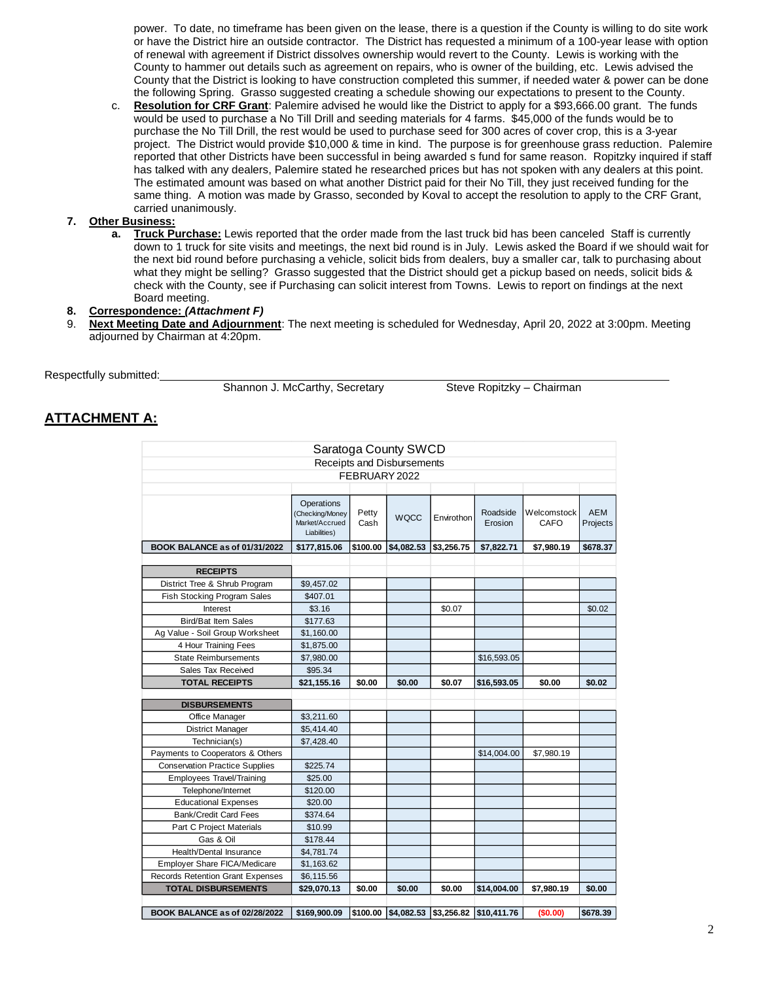power. To date, no timeframe has been given on the lease, there is a question if the County is willing to do site work or have the District hire an outside contractor. The District has requested a minimum of a 100-year lease with option of renewal with agreement if District dissolves ownership would revert to the County. Lewis is working with the County to hammer out details such as agreement on repairs, who is owner of the building, etc. Lewis advised the County that the District is looking to have construction completed this summer, if needed water & power can be done the following Spring. Grasso suggested creating a schedule showing our expectations to present to the County.

c. **Resolution for CRF Grant**: Palemire advised he would like the District to apply for a \$93,666.00 grant. The funds would be used to purchase a No Till Drill and seeding materials for 4 farms. \$45,000 of the funds would be to purchase the No Till Drill, the rest would be used to purchase seed for 300 acres of cover crop, this is a 3-year project. The District would provide \$10,000 & time in kind. The purpose is for greenhouse grass reduction. Palemire reported that other Districts have been successful in being awarded s fund for same reason. Ropitzky inquired if staff has talked with any dealers, Palemire stated he researched prices but has not spoken with any dealers at this point. The estimated amount was based on what another District paid for their No Till, they just received funding for the same thing. A motion was made by Grasso, seconded by Koval to accept the resolution to apply to the CRF Grant, carried unanimously.

## **7. Other Business:**

**a. Truck Purchase:** Lewis reported that the order made from the last truck bid has been canceled Staff is currently down to 1 truck for site visits and meetings, the next bid round is in July. Lewis asked the Board if we should wait for the next bid round before purchasing a vehicle, solicit bids from dealers, buy a smaller car, talk to purchasing about what they might be selling? Grasso suggested that the District should get a pickup based on needs, solicit bids & check with the County, see if Purchasing can solicit interest from Towns. Lewis to report on findings at the next Board meeting.

## **8. Correspondence:** *(Attachment F)*

9. **Next Meeting Date and Adjournment**: The next meeting is scheduled for Wednesday, April 20, 2022 at 3:00pm. Meeting adjourned by Chairman at 4:20pm.

Respectfully submitted:

Shannon J. McCarthy, Secretary Steve Ropitzky – Chairman

# **ATTACHMENT A:**

|                                         |                                                                 |               | Saratoga County SWCD       |            |                                            |                            |                        |
|-----------------------------------------|-----------------------------------------------------------------|---------------|----------------------------|------------|--------------------------------------------|----------------------------|------------------------|
|                                         |                                                                 |               | Receipts and Disbursements |            |                                            |                            |                        |
|                                         |                                                                 | FEBRUARY 2022 |                            |            |                                            |                            |                        |
|                                         |                                                                 |               |                            |            |                                            |                            |                        |
|                                         | Operations<br>(Checking/Money<br>Market/Accrued<br>Liabilities) | Petty<br>Cash | <b>WQCC</b>                | Envirothon | Roadside<br>Erosion                        | Welcomstock<br><b>CAFO</b> | <b>AEM</b><br>Projects |
| BOOK BALANCE as of 01/31/2022           | \$177,815.06                                                    | \$100.00      | \$4,082.53                 | \$3,256,75 | \$7,822.71                                 | \$7,980.19                 | \$678.37               |
|                                         |                                                                 |               |                            |            |                                            |                            |                        |
| <b>RECEIPTS</b>                         |                                                                 |               |                            |            |                                            |                            |                        |
| District Tree & Shrub Program           | \$9,457.02                                                      |               |                            |            |                                            |                            |                        |
| <b>Fish Stocking Program Sales</b>      | \$407.01                                                        |               |                            |            |                                            |                            |                        |
| Interest                                | \$3.16                                                          |               |                            | \$0.07     |                                            |                            | \$0.02                 |
| Bird/Bat Item Sales                     | \$177.63                                                        |               |                            |            |                                            |                            |                        |
| Ag Value - Soil Group Worksheet         | \$1,160.00                                                      |               |                            |            |                                            |                            |                        |
| 4 Hour Training Fees                    | \$1,875.00                                                      |               |                            |            |                                            |                            |                        |
| <b>State Reimbursements</b>             | \$7,980.00                                                      |               |                            |            | \$16,593.05                                |                            |                        |
| Sales Tax Received                      | \$95.34                                                         |               |                            |            |                                            |                            |                        |
| <b>TOTAL RECEIPTS</b>                   | \$21,155.16                                                     | \$0.00        | \$0.00                     | \$0.07     | \$16,593.05                                | \$0.00                     | \$0.02                 |
| <b>DISBURSEMENTS</b>                    |                                                                 |               |                            |            |                                            |                            |                        |
| Office Manager                          | \$3,211.60                                                      |               |                            |            |                                            |                            |                        |
| <b>District Manager</b>                 | \$5,414.40                                                      |               |                            |            |                                            |                            |                        |
| Technician(s)                           | \$7,428.40                                                      |               |                            |            |                                            |                            |                        |
| Payments to Cooperators & Others        |                                                                 |               |                            |            | \$14,004.00                                | \$7,980.19                 |                        |
| <b>Conservation Practice Supplies</b>   | \$225.74                                                        |               |                            |            |                                            |                            |                        |
| <b>Employees Travel/Training</b>        | \$25.00                                                         |               |                            |            |                                            |                            |                        |
| Telephone/Internet                      | \$120.00                                                        |               |                            |            |                                            |                            |                        |
| <b>Educational Expenses</b>             | \$20.00                                                         |               |                            |            |                                            |                            |                        |
| <b>Bank/Credit Card Fees</b>            | \$374.64                                                        |               |                            |            |                                            |                            |                        |
| Part C Project Materials                | \$10.99                                                         |               |                            |            |                                            |                            |                        |
| Gas & Oil                               | \$178.44                                                        |               |                            |            |                                            |                            |                        |
| Health/Dental Insurance                 | \$4,781.74                                                      |               |                            |            |                                            |                            |                        |
| Employer Share FICA/Medicare            | \$1,163.62                                                      |               |                            |            |                                            |                            |                        |
| <b>Records Retention Grant Expenses</b> | \$6,115.56                                                      |               |                            |            |                                            |                            |                        |
| <b>TOTAL DISBURSEMENTS</b>              | \$29,070.13                                                     | \$0.00        | \$0.00                     | \$0.00     | \$14,004.00                                | \$7,980.19                 | \$0.00                 |
| BOOK BALANCE as of 02/28/2022           | \$169.900.09                                                    |               |                            |            | \$100.00 \$4,082.53 \$3,256.82 \$10,411.76 | (\$0.00)                   | \$678.39               |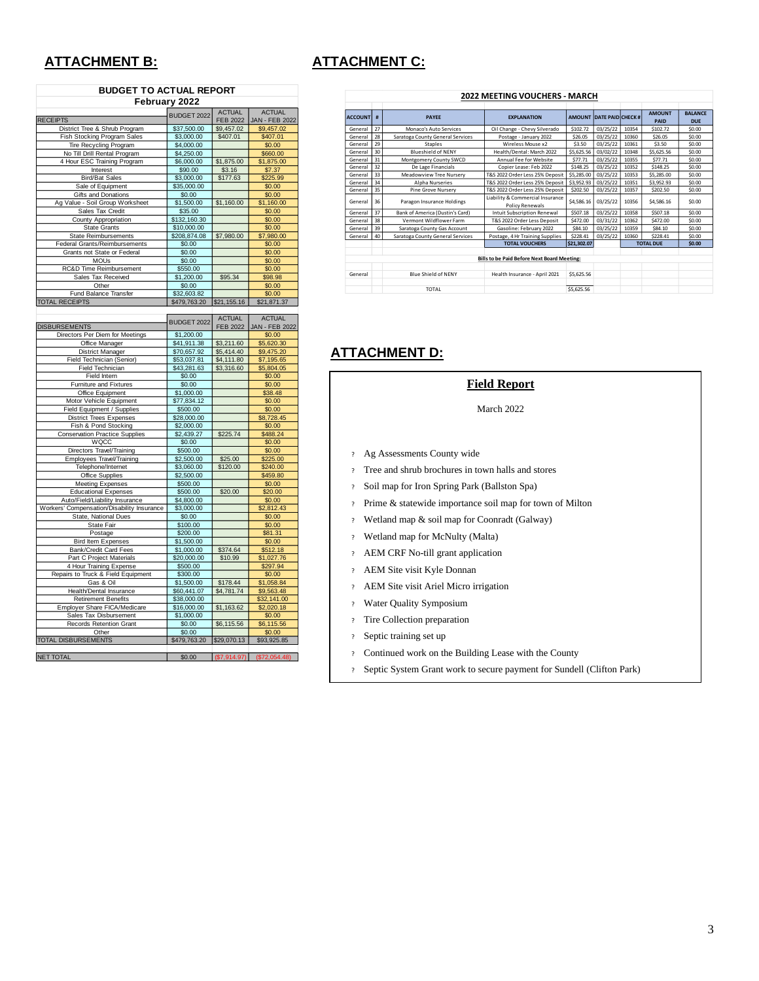# **ATTACHMENT B: ATTACHMENT C:**

| <b>BUDGET TO ACTUAL REPORT</b>     |              |                 |                       |  |  |
|------------------------------------|--------------|-----------------|-----------------------|--|--|
| February 2022                      |              |                 |                       |  |  |
|                                    | BUDGET 2022  | <b>ACTUAL</b>   | <b>ACTUAL</b>         |  |  |
| <b>RECEIPTS</b>                    |              | <b>FEB 2022</b> | <b>JAN - FEB 2022</b> |  |  |
| District Tree & Shrub Program      | \$37,500.00  | \$9,457.02      | \$9,457.02            |  |  |
| Fish Stocking Program Sales        | \$3,000.00   | \$407.01        | \$407.01              |  |  |
| Tire Recycling Program             | \$4,000.00   |                 | \$0.00                |  |  |
| No Till Drill Rental Program       | \$4,250.00   |                 | \$660.00              |  |  |
| 4 Hour ESC Training Program        | \$6,000.00   | \$1,875.00      | \$1,875.00            |  |  |
| Interest                           | \$90.00      | \$3.16          | \$7.37                |  |  |
| <b>Bird/Bat Sales</b>              | \$3,000.00   | \$177.63        | \$225.99              |  |  |
| Sale of Equipment                  | \$35,000.00  |                 | \$0.00                |  |  |
| Gifts and Donations                | \$0.00       |                 | \$0.00                |  |  |
| Ag Value - Soil Group Worksheet    | \$1,500.00   | \$1,160.00      | \$1,160.00            |  |  |
| Sales Tax Credit                   | \$35.00      |                 | \$0.00                |  |  |
| County Appropriation               | \$132,160.30 |                 | \$0.00                |  |  |
| <b>State Grants</b>                | \$10,000.00  |                 | \$0.00                |  |  |
| <b>State Reimbursements</b>        | \$208,874.08 | \$7,980.00      | \$7,980.00            |  |  |
| Federal Grants/Reimbursements      | \$0.00       |                 | \$0.00                |  |  |
| Grants not State or Federal        | \$0.00       |                 | \$0.00                |  |  |
| <b>MOU<sub>s</sub></b>             | \$0.00       |                 | \$0.00                |  |  |
| <b>RC&amp;D Time Reimbursement</b> | \$550.00     |                 | \$0.00                |  |  |
| Sales Tax Received                 | \$1,200.00   | \$95.34         | \$98.98               |  |  |
| Other                              | \$0.00       |                 | \$0.00                |  |  |
| <b>Fund Balance Transfer</b>       | \$32,603.82  |                 | \$0.00                |  |  |
| <b>TOTAL RECEIPTS</b>              | \$479,763.20 | \$21,155.16     | \$21,871.37           |  |  |
|                                    |              |                 |                       |  |  |
|                                    |              | $AC$ TIJAI      | $AC$ TIJAI            |  |  |

|                                            | BUDGET 2022  | <b>ACTUAL</b>   | ACTUAL                |  |
|--------------------------------------------|--------------|-----------------|-----------------------|--|
| <b>DISBURSEMENTS</b>                       |              | <b>FEB 2022</b> | <b>JAN - FEB 2022</b> |  |
| Directors Per Diem for Meetings            | \$1,200.00   |                 | \$0.00                |  |
| Office Manager                             | \$41,911.38  | \$3,211.60      | \$5,620.30            |  |
| <b>District Manager</b>                    | \$70,657.92  | \$5,414.40      | \$9,475.20            |  |
| Field Technician (Senior)                  | \$53,037.81  | \$4,111.80      | \$7,195.65            |  |
| Field Technician                           | \$43,281.63  | \$3,316.60      | \$5,804.05            |  |
| Field Intern                               | \$0.00       |                 | \$0.00                |  |
| Fumiture and Fixtures                      | \$0.00       |                 | \$0.00                |  |
| Office Equipment                           | \$1,000.00   |                 | \$38.48               |  |
| Motor Vehicle Equipment                    | \$77,834.12  |                 | \$0.00                |  |
| Field Equipment / Supplies                 | \$500.00     |                 | \$0.00                |  |
| <b>District Trees Expenses</b>             | \$28,000.00  |                 | \$8,728.45            |  |
| Fish & Pond Stocking                       | \$2,000.00   |                 | \$0.00                |  |
| <b>Conservation Practice Supplies</b>      | \$2.439.27   | \$225.74        | \$488.24              |  |
| WQCC                                       | \$0.00       |                 | \$0.00                |  |
| Directors Travel/Training                  | \$500.00     |                 | \$0.00                |  |
| <b>Employees Travel/Training</b>           | \$2,500.00   | \$25.00         | \$225.00              |  |
| Telephone/Internet                         | \$3,060,00   | \$120.00        | \$240.00              |  |
| Office Supplies                            | \$2,500.00   |                 | \$459.80              |  |
| <b>Meeting Expenses</b>                    | \$500.00     |                 | \$0.00                |  |
| <b>Educational Expenses</b>                | \$500.00     | \$20.00         | \$20.00               |  |
| Auto/Field/Liability Insurance             | \$4,800.00   |                 | \$0.00                |  |
| Workers' Compensation/Disability Insurance | \$3,000.00   |                 | \$2,812.43            |  |
| State, National Dues                       | \$0.00       |                 | \$0.00                |  |
| State Fair                                 | \$100.00     |                 | \$0.00                |  |
| Postage                                    | \$200.00     |                 | \$81.31               |  |
| <b>Bird Item Expenses</b>                  | \$1,500.00   |                 | \$0.00                |  |
| Bank/Credit Card Fees                      | \$1,000.00   | \$374.64        | \$512.18              |  |
| Part C Project Materials                   | \$20,000.00  | \$10.99         | \$1,027.76            |  |
| 4 Hour Training Expense                    | \$500.00     |                 | \$297.94              |  |
| Repairs to Truck & Field Equipment         | \$300.00     |                 | \$0.00                |  |
| Gas & Oil                                  | \$1,500.00   | \$178.44        | \$1,058.84            |  |
| Health/Dental Insurance                    | \$60,441.07  | \$4,781.74      | \$9,563.48            |  |
| <b>Retirement Benefits</b>                 | \$38,000.00  |                 | \$32,141.00           |  |
| <b>Employer Share FICA/Medicare</b>        | \$16,000.00  | \$1,163.62      | \$2,020.18            |  |
| Sales Tax Disbursement                     | \$1,000.00   |                 | \$0.00                |  |
| Records Retention Grant                    | \$0.00       | \$6,115.56      | \$6,115.56            |  |
| Other                                      | \$0.00       |                 | \$0.00                |  |
| <b>TOTAL DISBURSEMENTS</b>                 | \$479,763.20 | \$29,070.13     | \$93,925,85           |  |
| <b>NET TOTAL</b>                           | \$0.00       | (S7, 914.97)    | (\$72,054.48)         |  |

| ZUZZ MEETING VOULHEKS - MAKLH               |                                  |                                                                                                    |                                                                                                                                    |                                                                                        |                                                          |                                                                       |                                                                      |
|---------------------------------------------|----------------------------------|----------------------------------------------------------------------------------------------------|------------------------------------------------------------------------------------------------------------------------------------|----------------------------------------------------------------------------------------|----------------------------------------------------------|-----------------------------------------------------------------------|----------------------------------------------------------------------|
|                                             |                                  |                                                                                                    |                                                                                                                                    |                                                                                        |                                                          |                                                                       |                                                                      |
| <b>ACCOUNT</b><br>#                         | <b>PAYEE</b>                     | <b>EXPLANATION</b>                                                                                 |                                                                                                                                    |                                                                                        |                                                          |                                                                       | <b>BALANCE</b><br><b>DUE</b>                                         |
|                                             |                                  |                                                                                                    |                                                                                                                                    |                                                                                        |                                                          |                                                                       | \$0.00                                                               |
|                                             |                                  |                                                                                                    |                                                                                                                                    |                                                                                        |                                                          |                                                                       |                                                                      |
|                                             |                                  |                                                                                                    |                                                                                                                                    |                                                                                        |                                                          |                                                                       | \$0.00                                                               |
|                                             |                                  |                                                                                                    |                                                                                                                                    |                                                                                        |                                                          |                                                                       | \$0.00                                                               |
|                                             |                                  |                                                                                                    |                                                                                                                                    |                                                                                        |                                                          |                                                                       | \$0.00                                                               |
|                                             | Montgomery County SWCD           |                                                                                                    |                                                                                                                                    |                                                                                        |                                                          | \$77.71                                                               | \$0.00                                                               |
| 32                                          | De Lage Financials               | Copier Lease: Feb 2022                                                                             | \$148.25                                                                                                                           | 03/25/22                                                                               | 10352                                                    | \$148.25                                                              | \$0.00                                                               |
| 33                                          | <b>Meadowview Tree Nurserv</b>   | T&S 2022 Order Less 25% Deposit                                                                    | \$5,285.00                                                                                                                         | 03/25/22                                                                               | 10353                                                    | \$5.285.00                                                            | \$0.00                                                               |
| 34                                          | Alpha Nurseries                  | T&S 2022 Order Less 25% Deposit                                                                    | \$3,952.93                                                                                                                         | 03/25/22                                                                               | 10351                                                    | \$3.952.93                                                            | \$0.00                                                               |
| 35                                          | <b>Pine Grove Nurserv</b>        | T&S 2022 Order Less 25% Deposit                                                                    | \$202.50                                                                                                                           | 03/25/22                                                                               | 10357                                                    | \$202.50                                                              | \$0.00                                                               |
| 36<br>General                               | Paragon Insurance Holdings       | Liability & Commercial Insurance                                                                   | \$4,586.16                                                                                                                         | 03/25/22                                                                               | 10356                                                    | \$4,586.16                                                            | \$0.00                                                               |
|                                             |                                  | <b>Policy Renewals</b>                                                                             |                                                                                                                                    |                                                                                        |                                                          |                                                                       |                                                                      |
| 37                                          | Bank of America (Dustin's Card)  | Intuit Subscription Renewal                                                                        | \$507.18                                                                                                                           | 03/25/22                                                                               | 10358                                                    | \$507.18                                                              | \$0.00                                                               |
| 38                                          | Vermont Wildflower Farm          | T&S 2022 Order Less Deposit                                                                        | \$472.00                                                                                                                           | 03/31/22                                                                               | 10362                                                    | \$472.00                                                              | \$0.00                                                               |
| 39                                          | Saratoga County Gas Account      | Gasoline: February 2022                                                                            | \$84.10                                                                                                                            | 03/25/22                                                                               | 10359                                                    | \$84.10                                                               | \$0.00                                                               |
| 40                                          | Saratoga County General Services | Postage, 4 Hr Training Supplies                                                                    | \$228.41                                                                                                                           | 03/25/22                                                                               | 10360                                                    | \$228.41                                                              | \$0.00                                                               |
|                                             |                                  | <b>TOTAL VOUCHERS</b>                                                                              |                                                                                                                                    |                                                                                        | <b>TOTAL DUE</b>                                         |                                                                       | \$0.00                                                               |
|                                             |                                  |                                                                                                    |                                                                                                                                    |                                                                                        |                                                          |                                                                       |                                                                      |
| Bills to be Paid Before Next Board Meeting: |                                  |                                                                                                    |                                                                                                                                    |                                                                                        |                                                          |                                                                       |                                                                      |
|                                             |                                  |                                                                                                    |                                                                                                                                    |                                                                                        |                                                          |                                                                       |                                                                      |
|                                             | <b>Blue Shield of NENY</b>       | Health Insurance - April 2021                                                                      | \$5.625.56                                                                                                                         |                                                                                        |                                                          |                                                                       |                                                                      |
|                                             | <b>TOTAL</b>                     |                                                                                                    | \$5,625.56                                                                                                                         |                                                                                        |                                                          |                                                                       |                                                                      |
|                                             | 27<br>28<br>29<br>30<br>31       | Monaco's Auto Services<br>Saratoga County General Services<br>Staples<br><b>Blueshield of NENY</b> | Oil Change - Chevy Silverado<br>Postage - January 2022<br>Wireless Mouse x2<br>Health/Dental: March 2022<br>Annual Fee for Website | <b>AMOUNT</b><br>\$102.72<br>\$26.05<br>\$3.50<br>\$5,625.56<br>\$77.71<br>\$21,302.07 | 03/25/22<br>03/25/22<br>03/25/22<br>03/02/22<br>03/25/22 | <b>DATE PAID CHECK #</b><br>10354<br>10360<br>10361<br>10348<br>10355 | <b>AMOUNT</b><br>PAID<br>\$102.72<br>\$26.05<br>\$3.50<br>\$5,625.56 |

**2022 MEETING VOUCHERS - MARCH**

# **ATTACHMENT D:**

## **Field Report**

## March 2022

- ? Ag Assessments County wide
- ? Tree and shrub brochures in town halls and stores
- ? Soil map for Iron Spring Park (Ballston Spa)
- ? Prime & statewide importance soil map for town of Milton
- ? Wetland map & soil map for Coonradt (Galway)
- ? Wetland map for McNulty (Malta)
- ? AEM CRF No-till grant application
- ? AEM Site visit Kyle Donnan
- ? AEM Site visit Ariel Micro irrigation
- ? Water Quality Symposium
- ? Tire Collection preparation
- ? Septic training set up
- ? Continued work on the Building Lease with the County
- ? Septic System Grant work to secure payment for Sundell (Clifton Park)